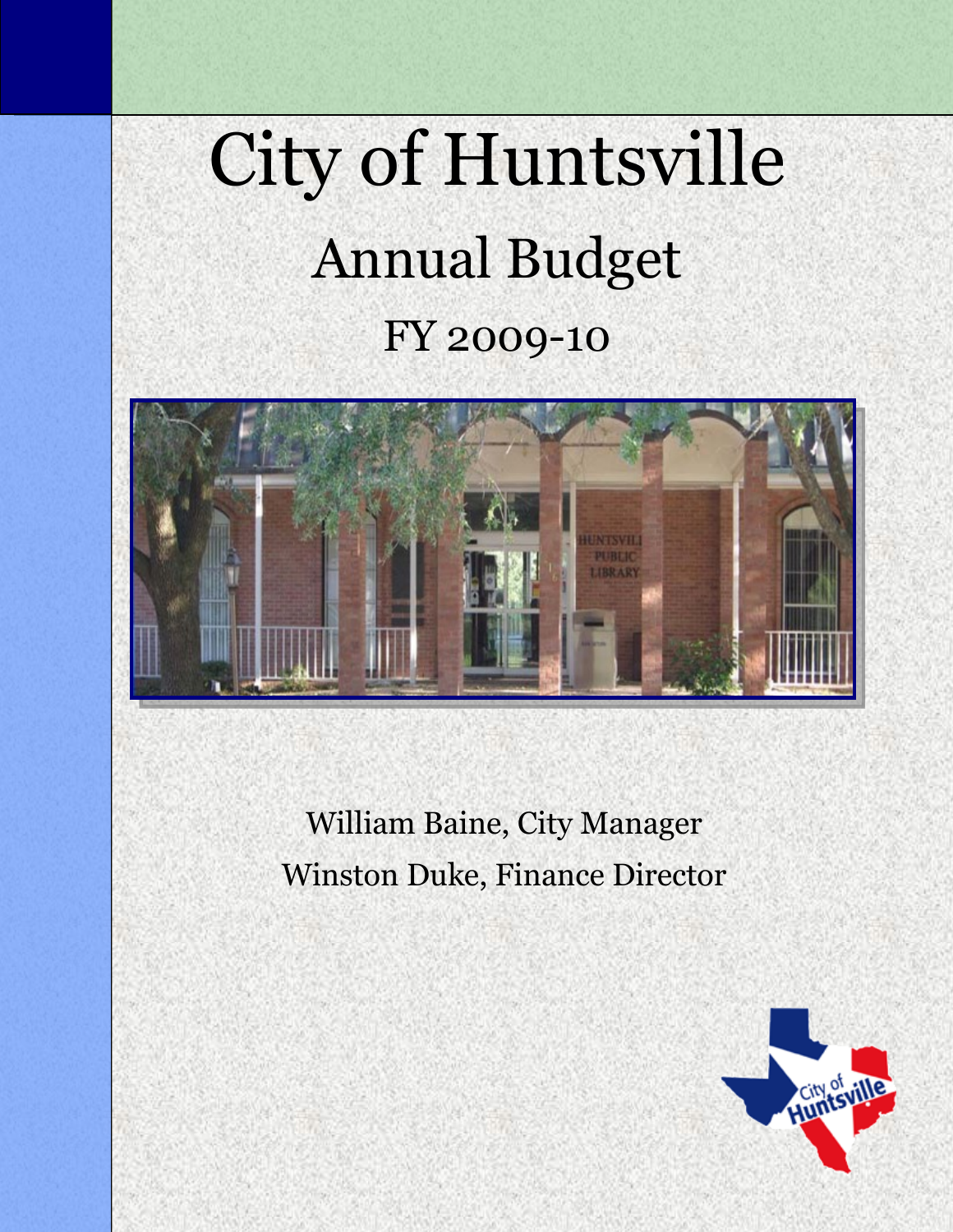# City of Huntsville Annual Budget FY 2009-10



William Baine, City Manager Winston Duke, Finance Director

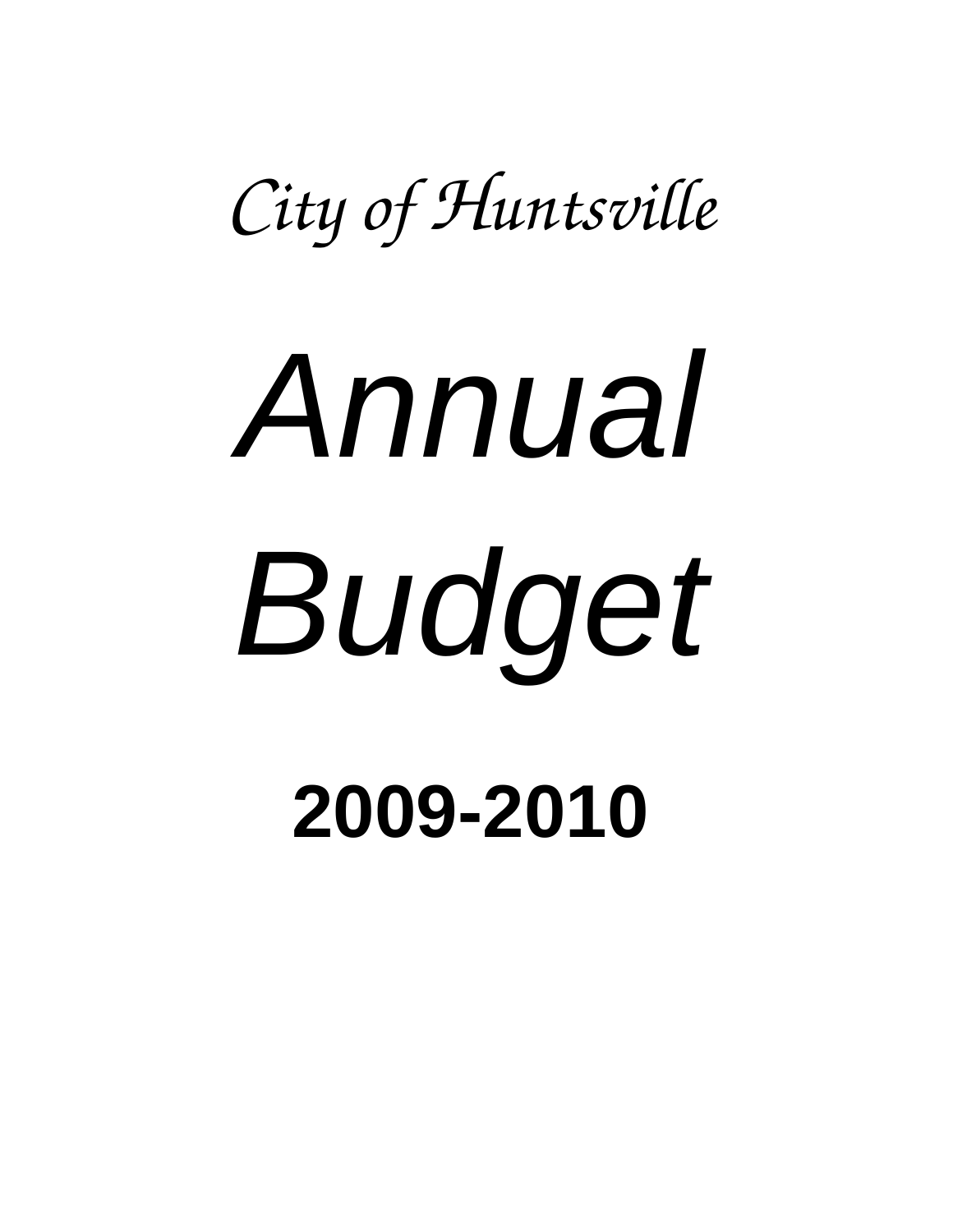*City of Huntsville* 

# *Annual Budget*

**2009-2010**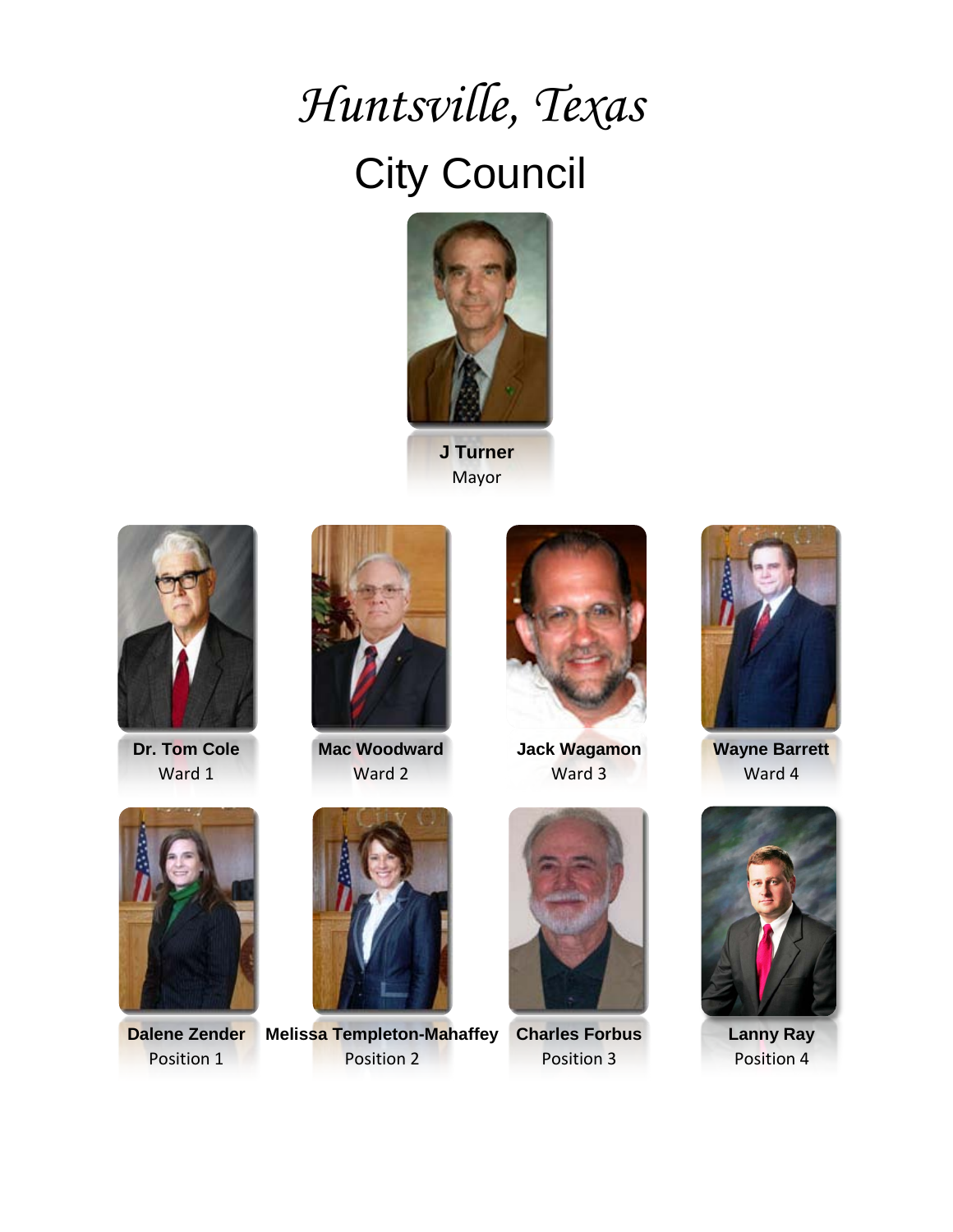# *Huntsville, Texas*  City Council



**J Turner** Mayor



**Dr. Tom Cole** Ward 1



**Mac Woodward** Ward 2



**Jack Wagamon** Ward 3



**Wayne Barrett** Ward 4



**Dalene Zender** Position 1



**Melissa Templeton-Mahaffey** Position 2



**Charles Forbus** Position 3



**Lanny Ray** Position 4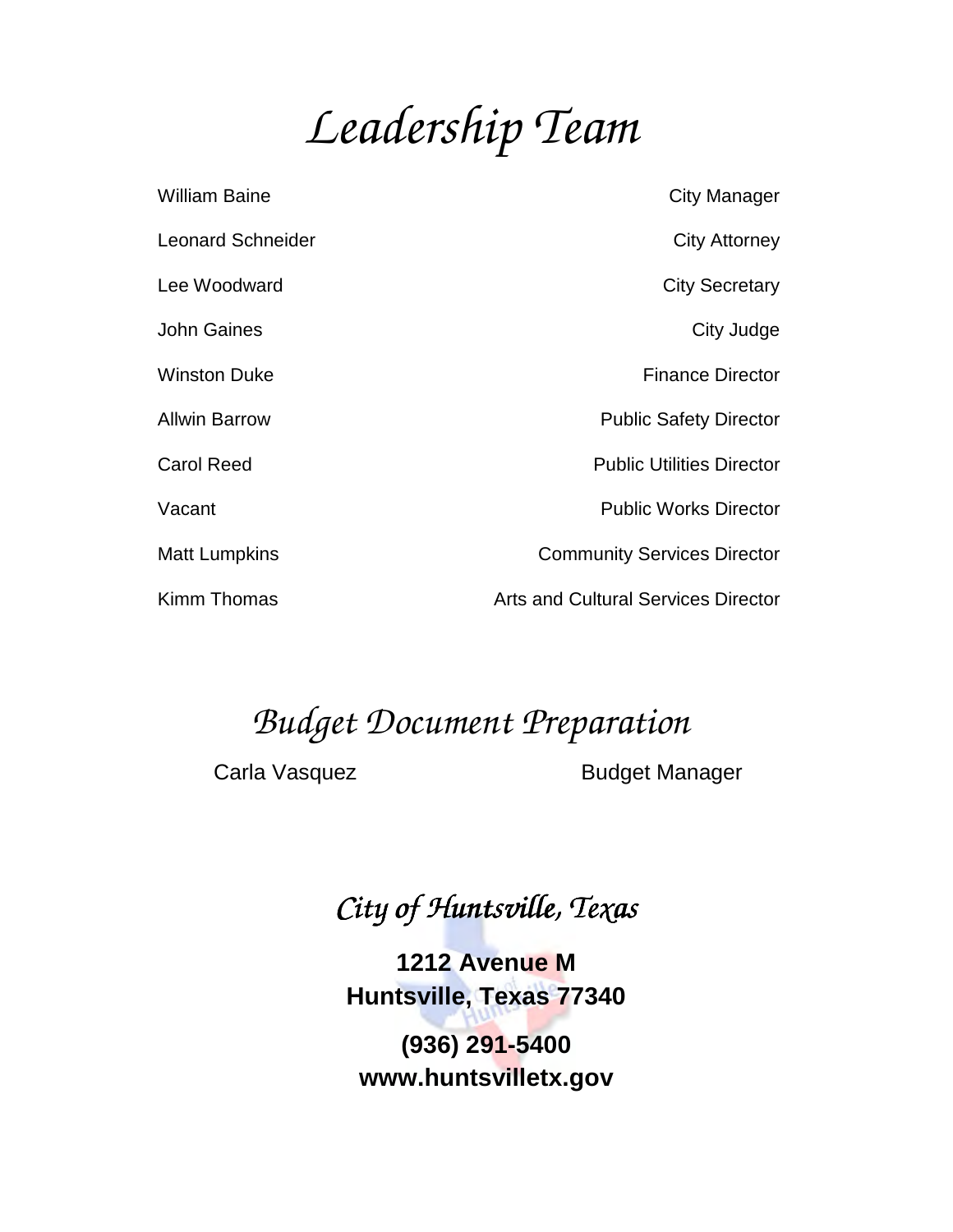# *Leadership Team*

| William Baine            | <b>City Manager</b>                        |
|--------------------------|--------------------------------------------|
| <b>Leonard Schneider</b> | <b>City Attorney</b>                       |
| Lee Woodward             | <b>City Secretary</b>                      |
| John Gaines              | City Judge                                 |
| <b>Winston Duke</b>      | <b>Finance Director</b>                    |
| <b>Allwin Barrow</b>     | <b>Public Safety Director</b>              |
| <b>Carol Reed</b>        | <b>Public Utilities Director</b>           |
| Vacant                   | <b>Public Works Director</b>               |
| <b>Matt Lumpkins</b>     | <b>Community Services Director</b>         |
| Kimm Thomas              | <b>Arts and Cultural Services Director</b> |

# *Budget Document Preparation*

Carla Vasquez

Carla Vasquez Budget Manager

# *City of Huntsville, Texas*

**1212 Avenue M** 

**Huntsville, Texas 77340 77340 (936) 291-5400 www.huntsvilletx.gov**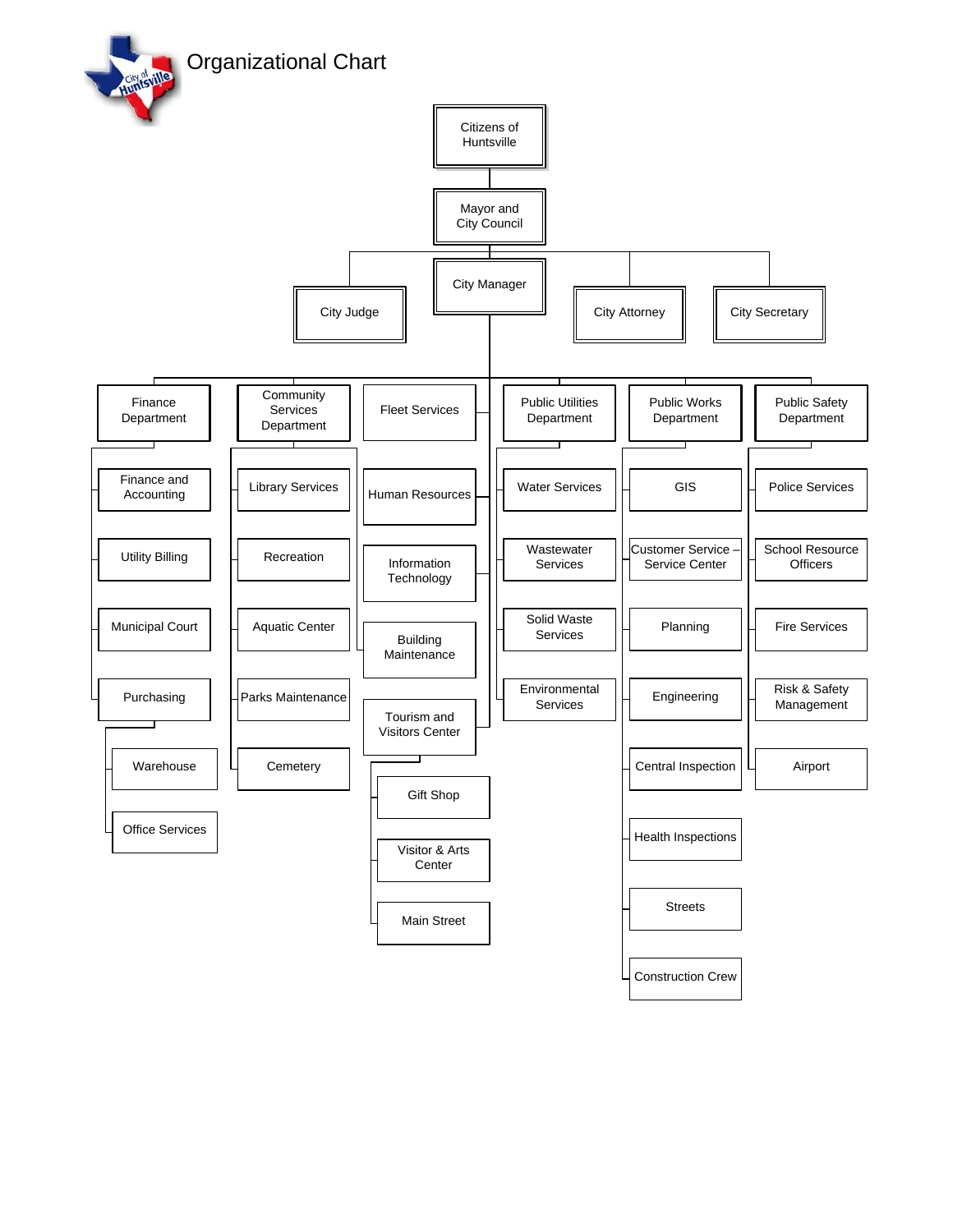Organizational Chart

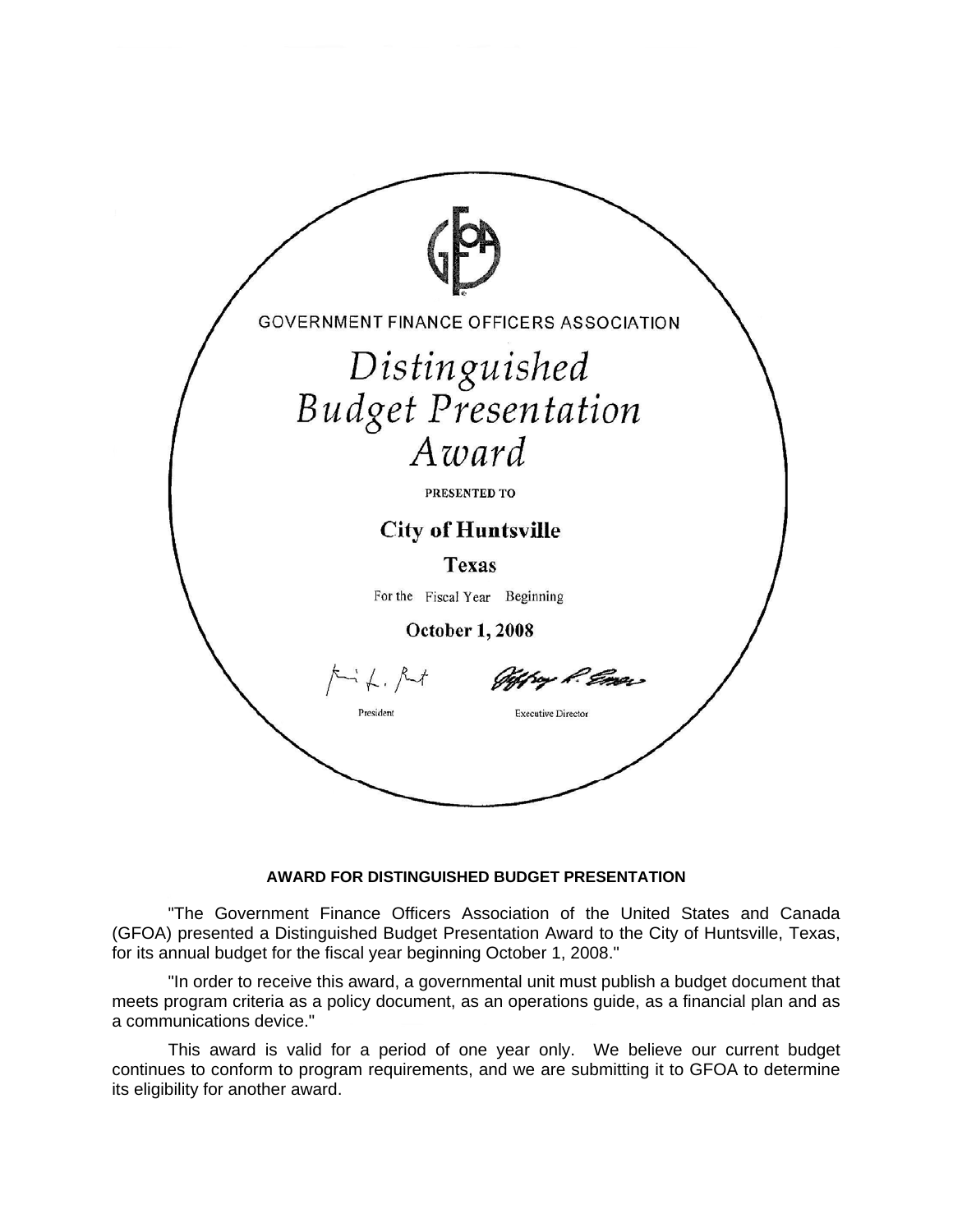

### **AWARD FOR DISTINGUISHED BUDGET PRESENTATION**

"The Government Finance Officers Association of the United States and Canada (GFOA) presented a Distinguished Budget Presentation Award to the City of Huntsville, Texas, for its annual budget for the fiscal year beginning October 1, 2008."

"In order to receive this award, a governmental unit must publish a budget document that meets program criteria as a policy document, as an operations guide, as a financial plan and as a communications device."

This award is valid for a period of one year only. We believe our current budget continues to conform to program requirements, and we are submitting it to GFOA to determine its eligibility for another award.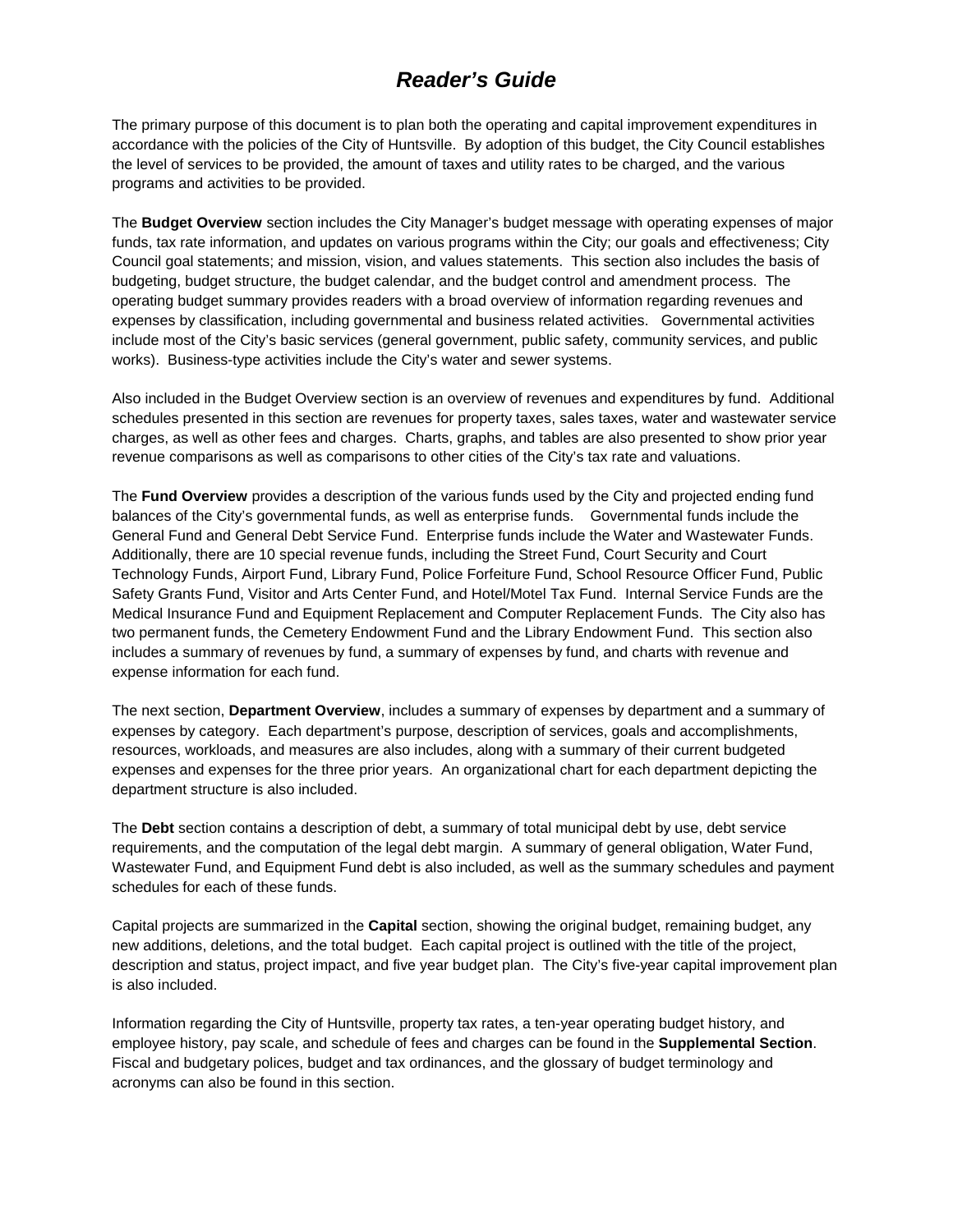# *Reader's Guide*

The primary purpose of this document is to plan both the operating and capital improvement expenditures in accordance with the policies of the City of Huntsville. By adoption of this budget, the City Council establishes the level of services to be provided, the amount of taxes and utility rates to be charged, and the various programs and activities to be provided.

The **Budget Overview** section includes the City Manager's budget message with operating expenses of major funds, tax rate information, and updates on various programs within the City; our goals and effectiveness; City Council goal statements; and mission, vision, and values statements. This section also includes the basis of budgeting, budget structure, the budget calendar, and the budget control and amendment process. The operating budget summary provides readers with a broad overview of information regarding revenues and expenses by classification, including governmental and business related activities. Governmental activities include most of the City's basic services (general government, public safety, community services, and public works). Business-type activities include the City's water and sewer systems.

Also included in the Budget Overview section is an overview of revenues and expenditures by fund. Additional schedules presented in this section are revenues for property taxes, sales taxes, water and wastewater service charges, as well as other fees and charges. Charts, graphs, and tables are also presented to show prior year revenue comparisons as well as comparisons to other cities of the City's tax rate and valuations.

The **Fund Overview** provides a description of the various funds used by the City and projected ending fund balances of the City's governmental funds, as well as enterprise funds. Governmental funds include the General Fund and General Debt Service Fund. Enterprise funds include the Water and Wastewater Funds. Additionally, there are 10 special revenue funds, including the Street Fund, Court Security and Court Technology Funds, Airport Fund, Library Fund, Police Forfeiture Fund, School Resource Officer Fund, Public Safety Grants Fund, Visitor and Arts Center Fund, and Hotel/Motel Tax Fund. Internal Service Funds are the Medical Insurance Fund and Equipment Replacement and Computer Replacement Funds. The City also has two permanent funds, the Cemetery Endowment Fund and the Library Endowment Fund. This section also includes a summary of revenues by fund, a summary of expenses by fund, and charts with revenue and expense information for each fund.

The next section, **Department Overview**, includes a summary of expenses by department and a summary of expenses by category. Each department's purpose, description of services, goals and accomplishments, resources, workloads, and measures are also includes, along with a summary of their current budgeted expenses and expenses for the three prior years. An organizational chart for each department depicting the department structure is also included.

The **Debt** section contains a description of debt, a summary of total municipal debt by use, debt service requirements, and the computation of the legal debt margin. A summary of general obligation, Water Fund, Wastewater Fund, and Equipment Fund debt is also included, as well as the summary schedules and payment schedules for each of these funds.

Capital projects are summarized in the **Capital** section, showing the original budget, remaining budget, any new additions, deletions, and the total budget. Each capital project is outlined with the title of the project, description and status, project impact, and five year budget plan. The City's five-year capital improvement plan is also included.

Information regarding the City of Huntsville, property tax rates, a ten-year operating budget history, and employee history, pay scale, and schedule of fees and charges can be found in the **Supplemental Section**. Fiscal and budgetary polices, budget and tax ordinances, and the glossary of budget terminology and acronyms can also be found in this section.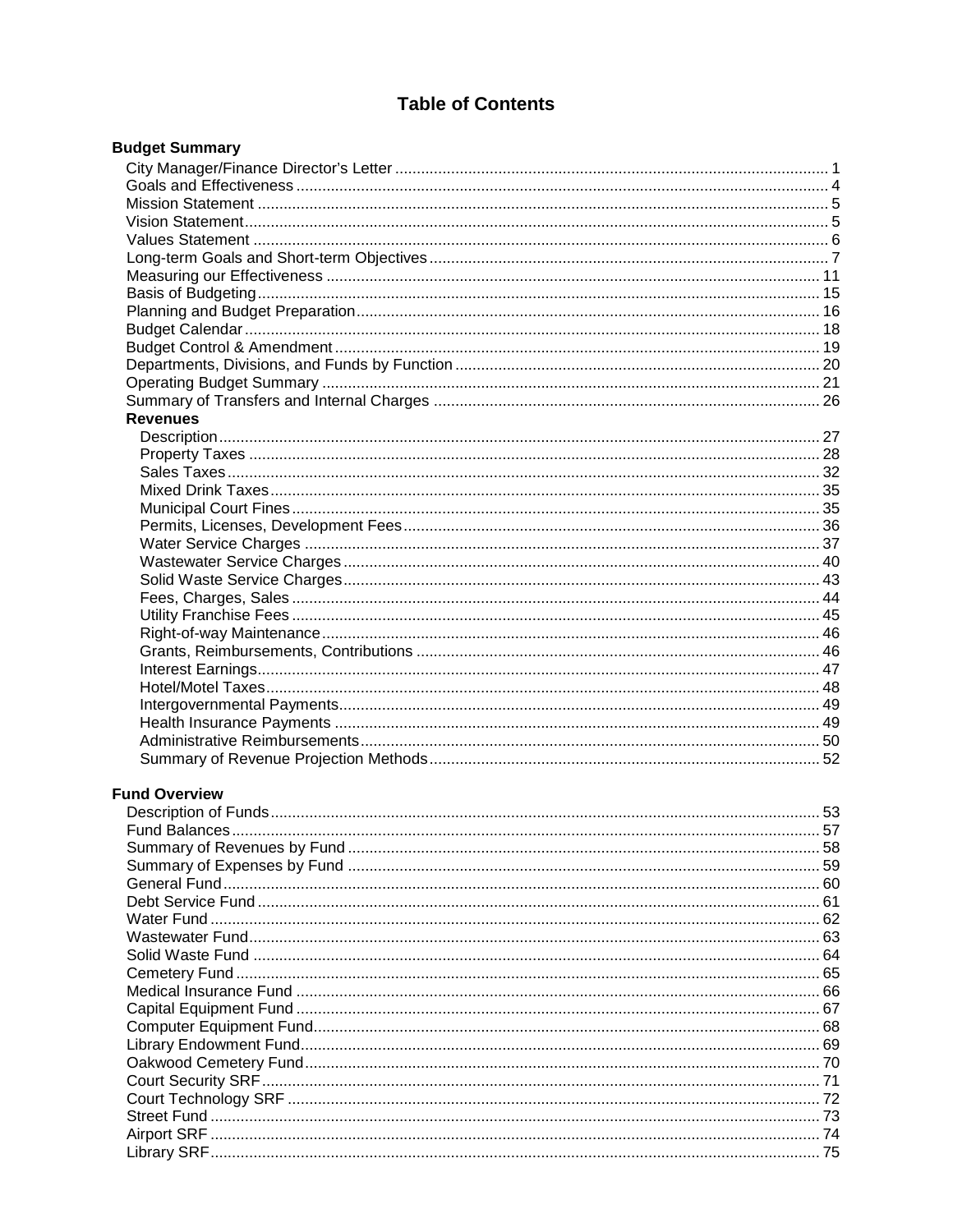## **Table of Contents**

| <b>Budget Summary</b> |  |
|-----------------------|--|
|                       |  |
|                       |  |
|                       |  |
|                       |  |
|                       |  |
|                       |  |
|                       |  |
|                       |  |
|                       |  |
|                       |  |
|                       |  |
|                       |  |
|                       |  |
|                       |  |
| <b>Revenues</b>       |  |
|                       |  |
|                       |  |
|                       |  |
|                       |  |
|                       |  |
|                       |  |
|                       |  |
|                       |  |
|                       |  |
|                       |  |
|                       |  |
|                       |  |
|                       |  |
|                       |  |
|                       |  |
|                       |  |
|                       |  |
|                       |  |
|                       |  |
| <b>Fund Overview</b>  |  |
|                       |  |
|                       |  |
|                       |  |
|                       |  |
|                       |  |
|                       |  |
|                       |  |
|                       |  |
|                       |  |
|                       |  |
|                       |  |
|                       |  |
|                       |  |
|                       |  |
|                       |  |
|                       |  |
|                       |  |
|                       |  |
|                       |  |
|                       |  |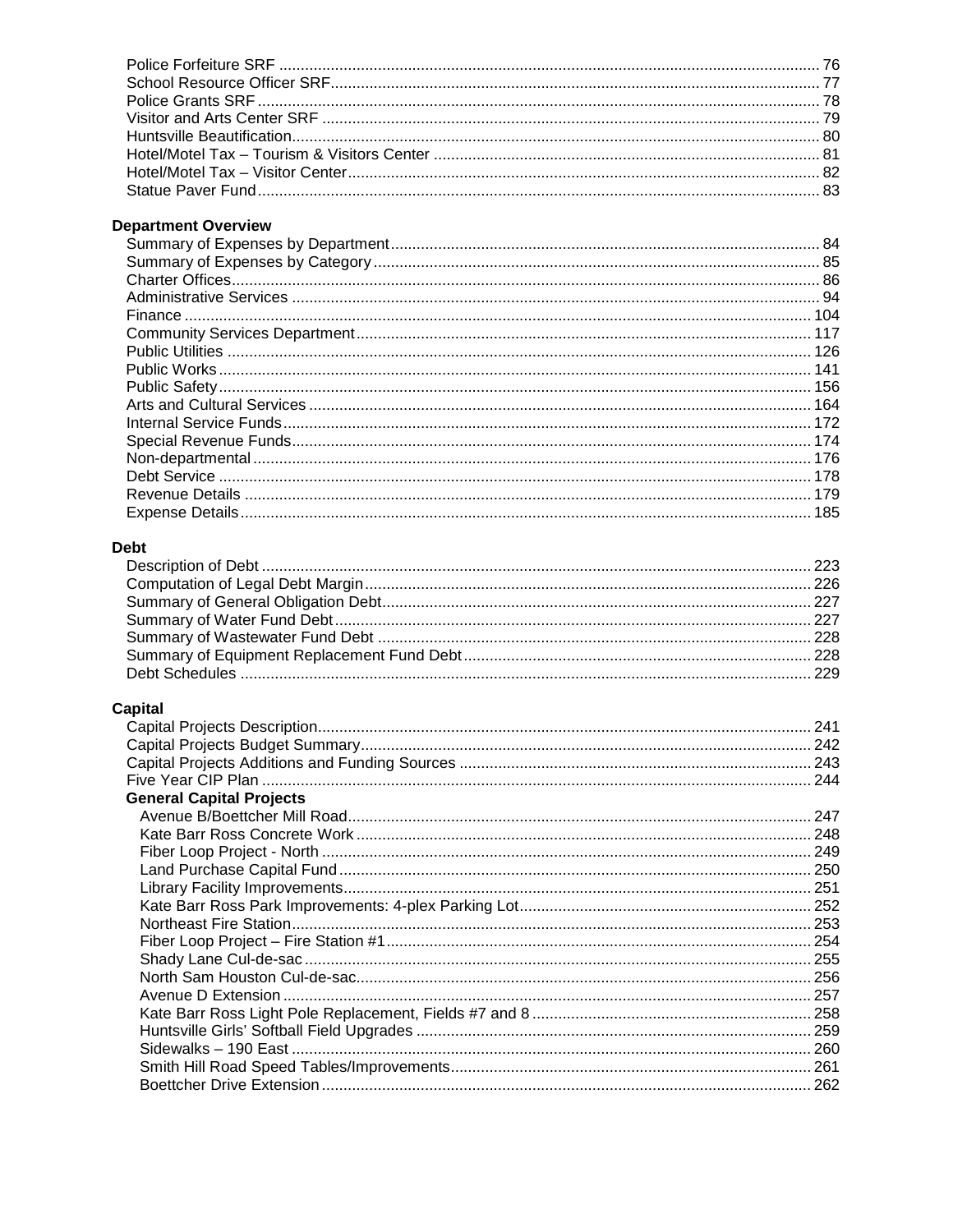## **Department Overview**

### **Debt**

## **Capital**

| <b>General Capital Projects</b> |  |
|---------------------------------|--|
|                                 |  |
|                                 |  |
|                                 |  |
|                                 |  |
|                                 |  |
|                                 |  |
|                                 |  |
|                                 |  |
|                                 |  |
|                                 |  |
|                                 |  |
|                                 |  |
|                                 |  |
|                                 |  |
|                                 |  |
|                                 |  |
|                                 |  |